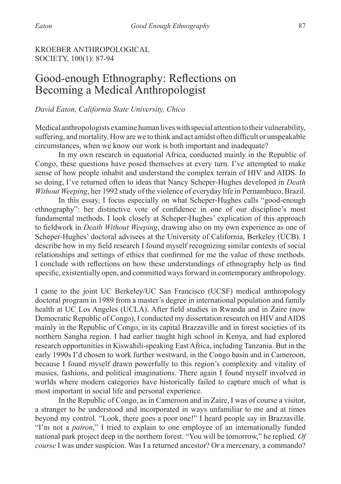# KROEBER ANTHROPOLOGICAL SOCIETY, 100(1): 87-94

# Good-enough Ethnography: Reflections on Becoming a Medical Anthropologist

#### *David Eaton, California State University, Chico*

Medical anthropologists examine human lives with special attention to their vulnerability, suffering, and mortality. How are we to think and act amidst often difficult or unspeakable circumstances, when we know our work is both important and inadequate?

In my own research in equatorial Africa, conducted mainly in the Republic of Congo, these questions have posed themselves at every turn. I've attempted to make sense of how people inhabit and understand the complex terrain of HIV and AIDS. In so doing, I've returned often to ideas that Nancy Scheper-Hughes developed in *Death Without Weeping*, her 1992 study of the violence of everyday life in Pernambuco, Brazil.

In this essay, I focus especially on what Scheper-Hughes calls "good-enough ethnography": her distinctive vote of confidence in one of our discipline's most fundamental methods. I look closely at Scheper-Hughes' explication of this approach to fieldwork in *Death Without Weeping*, drawing also on my own experience as one of Scheper-Hughes' doctoral advisees at the University of California, Berkeley (UCB). I describe how in my field research I found myself recognizing similar contexts of social relationships and settings of ethics that confirmed for me the value of these methods. I conclude with reflections on how these understandings of ethnography help us find specific, existentially open, and committed ways forward in contemporary anthropology.

I came to the joint UC Berkeley/UC San Francisco (UCSF) medical anthropology doctoral program in 1989 from a master's degree in international population and family health at UC Los Angeles (UCLA). After field studies in Rwanda and in Zaire (now Democratic Republic of Congo), I conducted my dissertation research on HIV and AIDS mainly in the Republic of Congo, in its capital Brazzaville and in forest societies of its northern Sangha region. I had earlier taught high school in Kenya, and had explored research opportunities in Kiswahili-speaking East Africa, including Tanzania. But in the early 1990s I'd chosen to work further westward, in the Congo basin and in Cameroon, because I found myself drawn powerfully to this region's complexity and vitality of musics, fashions, and political imaginations. There again I found myself involved in worlds where modern categories have historically failed to capture much of what is most important in social life and personal experience.

In the Republic of Congo, as in Cameroon and in Zaire, I was of course a visitor, a stranger to be understood and incorporated in ways unfamiliar to me and at times beyond my control. "Look, there goes a poor one!" I heard people say in Brazzaville. "I'm not a *patron*," I tried to explain to one employee of an internationally funded national park project deep in the northern forest. "You will be tomorrow," he replied. *Of course* I was under suspicion. Was I a returned ancestor? Or a mercenary, a commando?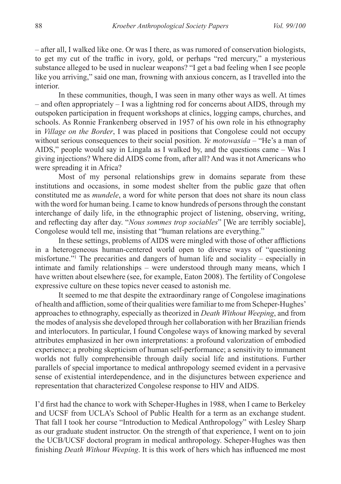– after all, I walked like one. Or was I there, as was rumored of conservation biologists, to get my cut of the traffic in ivory, gold, or perhaps "red mercury," a mysterious substance alleged to be used in nuclear weapons? "I get a bad feeling when I see people like you arriving," said one man, frowning with anxious concern, as I travelled into the **interior** 

In these communities, though, I was seen in many other ways as well. At times – and often appropriately – I was a lightning rod for concerns about AIDS, through my outspoken participation in frequent workshops at clinics, logging camps, churches, and schools. As Ronnie Frankenberg observed in 1957 of his own role in his ethnography in *Village on the Border*, I was placed in positions that Congolese could not occupy without serious consequences to their social position. *Ye motowasida* – "He's a man of AIDS," people would say in Lingala as I walked by, and the questions came – Was I giving injections? Where did AIDS come from, after all? And was it not Americans who were spreading it in Africa?

Most of my personal relationships grew in domains separate from these institutions and occasions, in some modest shelter from the public gaze that often constituted me as *mundele*, a word for white person that does not share its noun class with the word for human being. I came to know hundreds of persons through the constant interchange of daily life, in the ethnographic project of listening, observing, writing, and reflecting day after day. "*Nous sommes trop sociables*" [We are terribly sociable], Congolese would tell me, insisting that "human relations are everything."

In these settings, problems of AIDS were mingled with those of other afflictions in a heterogeneous human-centered world open to diverse ways of "questioning misfortune."<sup>1</sup> The precarities and dangers of human life and sociality – especially in intimate and family relationships – were understood through many means, which I have written about elsewhere (see, for example, Eaton 2008). The fertility of Congolese expressive culture on these topics never ceased to astonish me.

It seemed to me that despite the extraordinary range of Congolese imaginations of health and affliction, some of their qualities were familiar to me from Scheper-Hughes' approaches to ethnography, especially as theorized in *Death Without Weeping*, and from the modes of analysis she developed through her collaboration with her Brazilian friends and interlocutors. In particular, I found Congolese ways of knowing marked by several attributes emphasized in her own interpretations: a profound valorization of embodied experience; a probing skepticism of human self-performance; a sensitivity to immanent worlds not fully comprehensible through daily social life and institutions. Further parallels of special importance to medical anthropology seemed evident in a pervasive sense of existential interdependence, and in the disjunctures between experience and representation that characterized Congolese response to HIV and AIDS.

I'd first had the chance to work with Scheper-Hughes in 1988, when I came to Berkeley and UCSF from UCLA's School of Public Health for a term as an exchange student. That fall I took her course "Introduction to Medical Anthropology" with Lesley Sharp as our graduate student instructor. On the strength of that experience, I went on to join the UCB/UCSF doctoral program in medical anthropology. Scheper-Hughes was then finishing *Death Without Weeping*. It is this work of hers which has influenced me most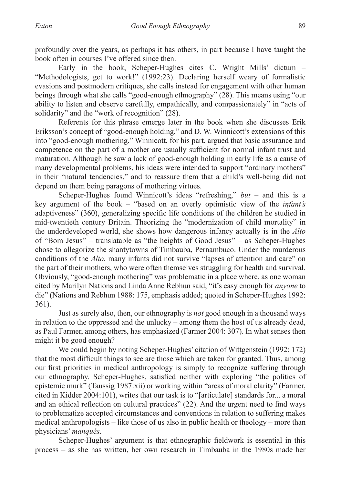profoundly over the years, as perhaps it has others, in part because I have taught the book often in courses I've offered since then.

Early in the book, Scheper-Hughes cites C. Wright Mills' dictum – "Methodologists, get to work!" (1992:23). Declaring herself weary of formalistic evasions and postmodern critiques, she calls instead for engagement with other human beings through what she calls "good-enough ethnography" (28). This means using "our ability to listen and observe carefully, empathically, and compassionately" in "acts of solidarity" and the "work of recognition" (28).

Referents for this phrase emerge later in the book when she discusses Erik Eriksson's concept of "good-enough holding," and D. W. Winnicott's extensions of this into "good-enough mothering." Winnicott, for his part, argued that basic assurance and competence on the part of a mother are usually sufficient for normal infant trust and maturation. Although he saw a lack of good-enough holding in early life as a cause of many developmental problems, his ideas were intended to support "ordinary mothers" in their "natural tendencies," and to reassure them that a child's well-being did not depend on them being paragons of mothering virtues.

Scheper-Hughes found Winnicott's ideas "refreshing," *but* – and this is a key argument of the book – "based on an overly optimistic view of the *infant's* adaptiveness" (360), generalizing specific life conditions of the children he studied in mid-twentieth century Britain. Theorizing the "modernization of child mortality" in the underdeveloped world, she shows how dangerous infancy actually is in the *Alto* of "Bom Jesus" – translatable as "the heights of Good Jesus" – as Scheper-Hughes chose to allegorize the shantytowns of Timbauba, Pernambuco. Under the murderous conditions of the *Alto*, many infants did not survive "lapses of attention and care" on the part of their mothers, who were often themselves struggling for health and survival. Obviously, "good-enough mothering" was problematic in a place where, as one woman cited by Marilyn Nations and Linda Anne Rebhun said, "it's easy enough for *anyone* to die" (Nations and Rebhun 1988: 175, emphasis added; quoted in Scheper-Hughes 1992: 361).

Just as surely also, then, our ethnography is *not* good enough in a thousand ways in relation to the oppressed and the unlucky – among them the host of us already dead, as Paul Farmer, among others, has emphasized (Farmer 2004: 307). In what senses then might it be good enough?

We could begin by noting Scheper-Hughes' citation of Wittgenstein (1992: 172) that the most difficult things to see are those which are taken for granted. Thus, among our first priorities in medical anthropology is simply to recognize suffering through our ethnography. Scheper-Hughes, satisfied neither with exploring "the politics of epistemic murk" (Taussig 1987:xii) or working within "areas of moral clarity" (Farmer, cited in Kidder 2004:101), writes that our task is to "[articulate] standards for... a moral and an ethical reflection on cultural practices" (22). And the urgent need to find ways to problematize accepted circumstances and conventions in relation to suffering makes medical anthropologists – like those of us also in public health or theology – more than physicians' *manqués*.

Scheper-Hughes' argument is that ethnographic fieldwork is essential in this process – as she has written, her own research in Timbauba in the 1980s made her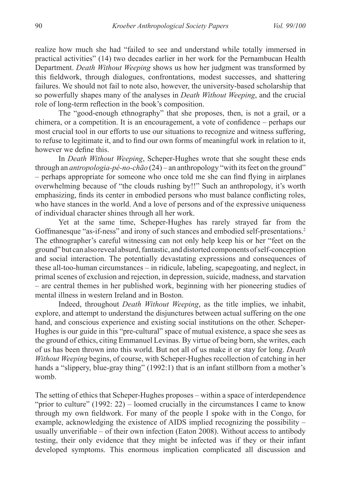realize how much she had "failed to see and understand while totally immersed in practical activities" (14) two decades earlier in her work for the Pernambucan Health Department. *Death Without Weeping* shows us how her judgment was transformed by this fieldwork, through dialogues, confrontations, modest successes, and shattering failures. We should not fail to note also, however, the university-based scholarship that so powerfully shapes many of the analyses in *Death Without Weeping*, and the crucial role of long-term reflection in the book's composition.

The "good-enough ethnography" that she proposes, then, is not a grail, or a chimera, or a competition. It is an encouragement, a vote of confidence – perhaps our most crucial tool in our efforts to use our situations to recognize and witness suffering, to refuse to legitimate it, and to find our own forms of meaningful work in relation to it, however we define this.

In *Death Without Weeping*, Scheper-Hughes wrote that she sought these ends through an *antropologia-pé-no-chão* (24) – an anthropology "with its feet on the ground" – perhaps appropriate for someone who once told me she can find flying in airplanes overwhelming because of "the clouds rushing by!!" Such an anthropology, it's worth emphasizing, finds its center in embodied persons who must balance conflicting roles, who have stances in the world. And a love of persons and of the expressive uniqueness of individual character shines through all her work.

Yet at the same time, Scheper-Hughes has rarely strayed far from the Goffmanesque "as-if-ness" and irony of such stances and embodied self-presentations.<sup>2</sup> The ethnographer's careful witnessing can not only help keep his or her "feet on the ground" but can also reveal absurd, fantastic, and distorted components of self-conception and social interaction. The potentially devastating expressions and consequences of these all-too-human circumstances – in ridicule, labeling, scapegoating, and neglect, in primal scenes of exclusion and rejection, in depression, suicide, madness, and starvation – are central themes in her published work, beginning with her pioneering studies of mental illness in western Ireland and in Boston.

Indeed, throughout *Death Without Weeping*, as the title implies, we inhabit, explore, and attempt to understand the disjunctures between actual suffering on the one hand, and conscious experience and existing social institutions on the other. Scheper-Hughes is our guide in this "pre-cultural" space of mutual existence, a space she sees as the ground of ethics, citing Emmanuel Levinas. By virtue of being born, she writes, each of us has been thrown into this world. But not all of us make it or stay for long. *Death Without Weeping* begins, of course, with Scheper-Hughes recollection of catching in her hands a "slippery, blue-gray thing" (1992:1) that is an infant stillborn from a mother's womb.

The setting of ethics that Scheper-Hughes proposes – within a space of interdependence "prior to culture" (1992: 22) – loomed crucially in the circumstances I came to know through my own fieldwork. For many of the people I spoke with in the Congo, for example, acknowledging the existence of AIDS implied recognizing the possibility – usually unverifiable – of their own infection (Eaton 2008). Without access to antibody testing, their only evidence that they might be infected was if they or their infant developed symptoms. This enormous implication complicated all discussion and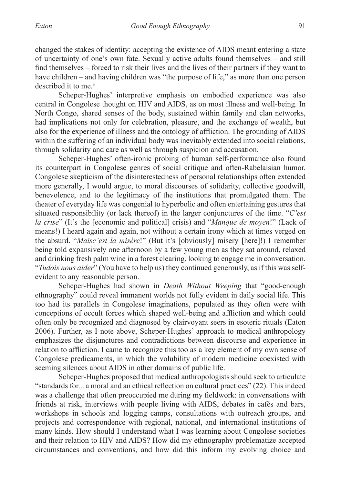changed the stakes of identity: accepting the existence of AIDS meant entering a state of uncertainty of one's own fate. Sexually active adults found themselves – and still find themselves – forced to risk their lives and the lives of their partners if they want to have children – and having children was "the purpose of life," as more than one person described it to me.<sup>3</sup>

Scheper-Hughes' interpretive emphasis on embodied experience was also central in Congolese thought on HIV and AIDS, as on most illness and well-being. In North Congo, shared senses of the body, sustained within family and clan networks, had implications not only for celebration, pleasure, and the exchange of wealth, but also for the experience of illness and the ontology of affliction. The grounding of AIDS within the suffering of an individual body was inevitably extended into social relations, through solidarity and care as well as through suspicion and accusation.

Scheper-Hughes' often-ironic probing of human self-performance also found its counterpart in Congolese genres of social critique and often-Rabelaisian humor. Congolese skepticism of the disinterestedness of personal relationships often extended more generally, I would argue, to moral discourses of solidarity, collective goodwill, benevolence, and to the legitimacy of the institutions that promulgated them. The theater of everyday life was congenial to hyperbolic and often entertaining gestures that situated responsibility (or lack thereof) in the larger conjunctures of the time. "*C'est la crise*" (It's the [economic and political] crisis) and "*Manque de moyen*!" (Lack of means!) I heard again and again, not without a certain irony which at times verged on the absurd. "*Maisc'est la misère*!" (But it's [obviously] misery [here]!) I remember being told expansively one afternoon by a few young men as they sat around, relaxed and drinking fresh palm wine in a forest clearing, looking to engage me in conversation. "*Tudois nous aider*" (You have to help us) they continued generously, as if this was selfevident to any reasonable person.

Scheper-Hughes had shown in *Death Without Weeping* that "good-enough ethnography" could reveal immanent worlds not fully evident in daily social life. This too had its parallels in Congolese imaginations, populated as they often were with conceptions of occult forces which shaped well-being and affliction and which could often only be recognized and diagnosed by clairvoyant seers in esoteric rituals (Eaton 2006). Further, as I note above, Scheper-Hughes' approach to medical anthropology emphasizes the disjunctures and contradictions between discourse and experience in relation to affliction. I came to recognize this too as a key element of my own sense of Congolese predicaments, in which the volubility of modern medicine coexisted with seeming silences about AIDS in other domains of public life.

Scheper-Hughes proposed that medical anthropologists should seek to articulate "standards for... a moral and an ethical reflection on cultural practices" (22). This indeed was a challenge that often preoccupied me during my fieldwork: in conversations with friends at risk, interviews with people living with AIDS, debates in cafés and bars, workshops in schools and logging camps, consultations with outreach groups, and projects and correspondence with regional, national, and international institutions of many kinds. How should I understand what I was learning about Congolese societies and their relation to HIV and AIDS? How did my ethnography problematize accepted circumstances and conventions, and how did this inform my evolving choice and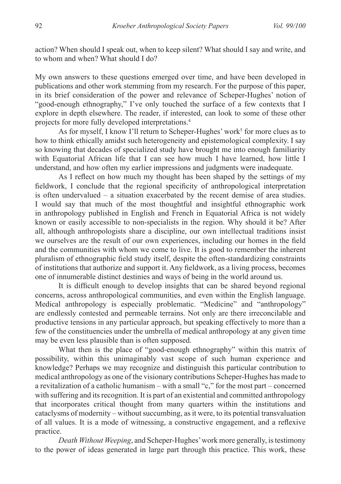action? When should I speak out, when to keep silent? What should I say and write, and to whom and when? What should I do?

My own answers to these questions emerged over time, and have been developed in publications and other work stemming from my research. For the purpose of this paper, in its brief consideration of the power and relevance of Scheper-Hughes' notion of "good-enough ethnography," I've only touched the surface of a few contexts that I explore in depth elsewhere. The reader, if interested, can look to some of these other projects for more fully developed interpretations.<sup>4</sup>

As for myself, I know I'll return to Scheper-Hughes' work<sup>5</sup> for more clues as to how to think ethically amidst such heterogeneity and epistemological complexity. I say so knowing that decades of specialized study have brought me into enough familiarity with Equatorial African life that I can see how much I have learned, how little I understand, and how often my earlier impressions and judgments were inadequate.

As I reflect on how much my thought has been shaped by the settings of my fieldwork, I conclude that the regional specificity of anthropological interpretation is often undervalued – a situation exacerbated by the recent demise of area studies. I would say that much of the most thoughtful and insightful ethnographic work in anthropology published in English and French in Equatorial Africa is not widely known or easily accessible to non-specialists in the region. Why should it be? After all, although anthropologists share a discipline, our own intellectual traditions insist we ourselves are the result of our own experiences, including our homes in the field and the communities with whom we come to live. It is good to remember the inherent pluralism of ethnographic field study itself, despite the often-standardizing constraints of institutions that authorize and support it. Any fieldwork, as a living process, becomes one of innumerable distinct destinies and ways of being in the world around us.

It is difficult enough to develop insights that can be shared beyond regional concerns, across anthropological communities, and even within the English language. Medical anthropology is especially problematic. "Medicine" and "anthropology" are endlessly contested and permeable terrains. Not only are there irreconcilable and productive tensions in any particular approach, but speaking effectively to more than a few of the constituencies under the umbrella of medical anthropology at any given time may be even less plausible than is often supposed.

What then is the place of "good-enough ethnography" within this matrix of possibility, within this unimaginably vast scope of such human experience and knowledge? Perhaps we may recognize and distinguish this particular contribution to medical anthropology as one of the visionary contributions Scheper-Hughes has made to a revitalization of a catholic humanism – with a small "c," for the most part – concerned with suffering and its recognition. It is part of an existential and committed anthropology that incorporates critical thought from many quarters within the institutions and cataclysms of modernity – without succumbing, as it were, to its potential transvaluation of all values. It is a mode of witnessing, a constructive engagement, and a reflexive practice.

*Death Without Weeping*, and Scheper-Hughes' work more generally, is testimony to the power of ideas generated in large part through this practice. This work, these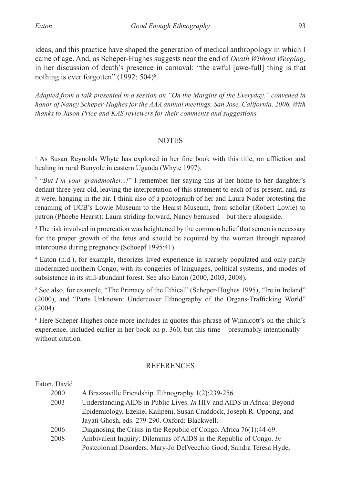ideas, and this practice have shaped the generation of medical anthropology in which I came of age. And, as Scheper-Hughes suggests near the end of *Death Without Weeping*, in her discussion of death's presence in carnaval: "the awful [awe-full] thing is that nothing is ever forgotten"  $(1992: 504)^6$ .

*Adapted from a talk presented in a session on "On the Margins of the Everyday," convened in honor of Nancy Scheper-Hughes for the AAA annual meetings, San Jose, California, 2006. With thanks to Jason Price and KAS reviewers for their comments and suggestions.*

## **NOTES**

<sup>1</sup> As Susan Reynolds Whyte has explored in her fine book with this title, on affliction and healing in rural Bunyole in eastern Uganda (Whyte 1997).

<sup>2</sup> "*But I'm your grandmother...!*" I remember her saying this at her home to her daughter's defiant three-year old, leaving the interpretation of this statement to each of us present, and, as it were, hanging in the air. I think also of a photograph of her and Laura Nader protesting the renaming of UCB's Lowie Museum to the Hearst Museum, from scholar (Robert Lowie) to patron (Phoebe Hearst): Laura striding forward, Nancy bemused – but there alongside.

<sup>3</sup> The risk involved in procreation was heightened by the common belief that semen is necessary for the proper growth of the fetus and should be acquired by the woman through repeated intercourse during pregnancy (Schoepf 1995:41).

<sup>4</sup> Eaton (n.d.), for example, theorizes lived experience in sparsely populated and only partly modernized northern Congo, with its congeries of languages, political systems, and modes of subsistence in its still-abundant forest. See also Eaton (2000, 2003, 2008).

<sup>5</sup> See also, for example, "The Primacy of the Ethical" (Scheper-Hughes 1995), "Ire in Ireland" (2000), and "Parts Unknown: Undercover Ethnography of the Organs-Trafficking World" (2004).

<sup>6</sup> Here Scheper-Hughes once more includes in quotes this phrase of Winnicott's on the child's experience, included earlier in her book on p. 360, but this time – presumably intentionally – without citation.

## **REFERENCES**

| Eaton, David |                                                                       |
|--------------|-----------------------------------------------------------------------|
| 2000         | A Brazzaville Friendship. Ethnography 1(2):239-256.                   |
| 2003         | Understanding AIDS in Public Lives. In HIV and AIDS in Africa: Beyond |
|              | Epidemiology. Ezekiel Kalipeni, Susan Craddock, Joseph R. Oppong, and |
|              | Jayati Ghosh, eds. 279-290. Oxford: Blackwell.                        |
| 2006         | Diagnosing the Crisis in the Republic of Congo. Africa 76(1):44-69.   |
| 2008         | Ambivalent Inquiry: Dilemmas of AIDS in the Republic of Congo. In     |
|              | Postcolonial Disorders. Mary-Jo DelVecchio Good, Sandra Teresa Hyde,  |